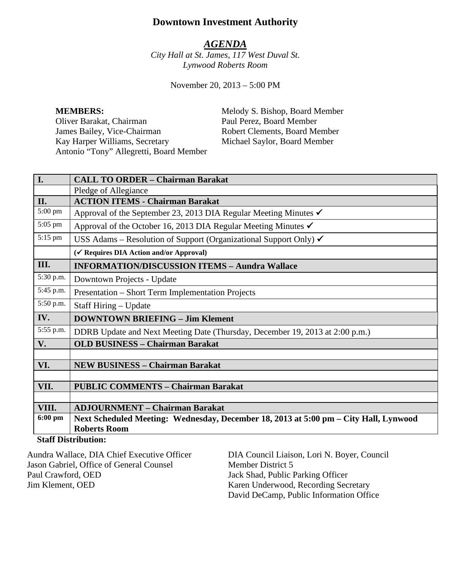# **Downtown Investment Authority**

## *AGENDA*

*City Hall at St. James, 117 West Duval St. Lynwood Roberts Room*

November 20, 2013 – 5:00 PM

Oliver Barakat, Chairman Paul Perez, Board Member James Bailey, Vice-Chairman Robert Clements, Board Member<br>
Kay Harper Williams, Secretary Michael Saylor, Board Member Kay Harper Williams, Secretary Michael Saylor, Board Member Antonio "Tony" Allegretti, Board Member

**MEMBERS:** Melody S. Bishop, Board Member

| I.                         | <b>CALL TO ORDER - Chairman Barakat</b>                                              |  |
|----------------------------|--------------------------------------------------------------------------------------|--|
|                            | Pledge of Allegiance                                                                 |  |
| II.                        | <b>ACTION ITEMS - Chairman Barakat</b>                                               |  |
| 5:00 pm                    | Approval of the September 23, 2013 DIA Regular Meeting Minutes $\checkmark$          |  |
| 5:05 pm                    | Approval of the October 16, 2013 DIA Regular Meeting Minutes $\checkmark$            |  |
| 5:15 pm                    | USS Adams – Resolution of Support (Organizational Support Only) $\checkmark$         |  |
|                            | (√ Requires DIA Action and/or Approval)                                              |  |
| III.                       | <b>INFORMATION/DISCUSSION ITEMS - Aundra Wallace</b>                                 |  |
| 5:30 p.m.                  | Downtown Projects - Update                                                           |  |
| 5:45 p.m.                  | Presentation – Short Term Implementation Projects                                    |  |
| 5:50 p.m.                  | Staff Hiring – Update                                                                |  |
| IV.                        | <b>DOWNTOWN BRIEFING - Jim Klement</b>                                               |  |
| 5:55 p.m.                  | DDRB Update and Next Meeting Date (Thursday, December 19, 2013 at 2:00 p.m.)         |  |
| V.                         | <b>OLD BUSINESS - Chairman Barakat</b>                                               |  |
|                            |                                                                                      |  |
| VI.                        | <b>NEW BUSINESS - Chairman Barakat</b>                                               |  |
|                            |                                                                                      |  |
| VII.                       | <b>PUBLIC COMMENTS - Chairman Barakat</b>                                            |  |
|                            |                                                                                      |  |
| VIII.                      | <b>ADJOURNMENT - Chairman Barakat</b>                                                |  |
| $6:00$ pm                  | Next Scheduled Meeting: Wednesday, December 18, 2013 at 5:00 pm – City Hall, Lynwood |  |
|                            | <b>Roberts Room</b>                                                                  |  |
| <b>Ctoff Distribution:</b> |                                                                                      |  |

## **Staff Distribution:**

| Aundra Wallace, DIA Chief Executive Officer | DIA Council Liaison, Lori N. Boyer, Council |
|---------------------------------------------|---------------------------------------------|
| Jason Gabriel, Office of General Counsel    | Member District 5                           |
| Paul Crawford, OED                          | Jack Shad, Public Parking Officer           |
| Jim Klement, OED                            | Karen Underwood, Recording Secretary        |
|                                             | David DeCamp, Public Information Office     |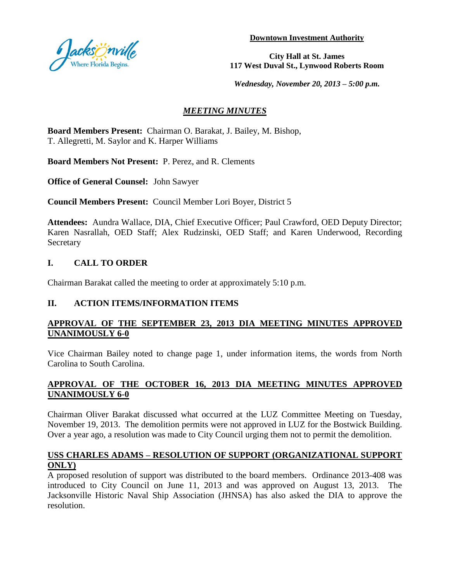

**Downtown Investment Authority**

**City Hall at St. James 117 West Duval St., Lynwood Roberts Room**

*Wednesday, November 20, 2013 – 5:00 p.m.*

## *MEETING MINUTES*

**Board Members Present:** Chairman O. Barakat, J. Bailey, M. Bishop, T. Allegretti, M. Saylor and K. Harper Williams

**Board Members Not Present:** P. Perez, and R. Clements

**Office of General Counsel:** John Sawyer

**Council Members Present:** Council Member Lori Boyer, District 5

**Attendees:** Aundra Wallace, DIA, Chief Executive Officer; Paul Crawford, OED Deputy Director; Karen Nasrallah, OED Staff; Alex Rudzinski, OED Staff; and Karen Underwood, Recording **Secretary** 

## **I. CALL TO ORDER**

Chairman Barakat called the meeting to order at approximately 5:10 p.m.

## **II. ACTION ITEMS/INFORMATION ITEMS**

## **APPROVAL OF THE SEPTEMBER 23, 2013 DIA MEETING MINUTES APPROVED UNANIMOUSLY 6-0**

Vice Chairman Bailey noted to change page 1, under information items, the words from North Carolina to South Carolina.

## **APPROVAL OF THE OCTOBER 16, 2013 DIA MEETING MINUTES APPROVED UNANIMOUSLY 6-0**

Chairman Oliver Barakat discussed what occurred at the LUZ Committee Meeting on Tuesday, November 19, 2013. The demolition permits were not approved in LUZ for the Bostwick Building. Over a year ago, a resolution was made to City Council urging them not to permit the demolition.

## **USS CHARLES ADAMS – RESOLUTION OF SUPPORT (ORGANIZATIONAL SUPPORT ONLY)**

A proposed resolution of support was distributed to the board members. Ordinance 2013-408 was introduced to City Council on June 11, 2013 and was approved on August 13, 2013. The Jacksonville Historic Naval Ship Association (JHNSA) has also asked the DIA to approve the resolution.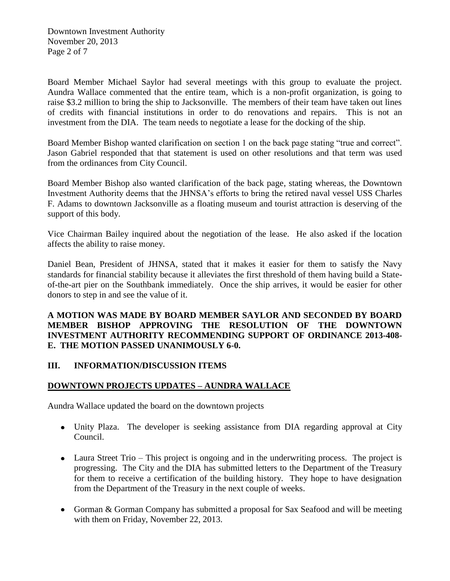Downtown Investment Authority November 20, 2013 Page 2 of 7

Board Member Michael Saylor had several meetings with this group to evaluate the project. Aundra Wallace commented that the entire team, which is a non-profit organization, is going to raise \$3.2 million to bring the ship to Jacksonville. The members of their team have taken out lines of credits with financial institutions in order to do renovations and repairs. This is not an investment from the DIA. The team needs to negotiate a lease for the docking of the ship.

Board Member Bishop wanted clarification on section 1 on the back page stating "true and correct". Jason Gabriel responded that that statement is used on other resolutions and that term was used from the ordinances from City Council.

Board Member Bishop also wanted clarification of the back page, stating whereas, the Downtown Investment Authority deems that the JHNSA's efforts to bring the retired naval vessel USS Charles F. Adams to downtown Jacksonville as a floating museum and tourist attraction is deserving of the support of this body.

Vice Chairman Bailey inquired about the negotiation of the lease. He also asked if the location affects the ability to raise money.

Daniel Bean, President of JHNSA, stated that it makes it easier for them to satisfy the Navy standards for financial stability because it alleviates the first threshold of them having build a Stateof-the-art pier on the Southbank immediately. Once the ship arrives, it would be easier for other donors to step in and see the value of it.

**A MOTION WAS MADE BY BOARD MEMBER SAYLOR AND SECONDED BY BOARD MEMBER BISHOP APPROVING THE RESOLUTION OF THE DOWNTOWN INVESTMENT AUTHORITY RECOMMENDING SUPPORT OF ORDINANCE 2013-408- E. THE MOTION PASSED UNANIMOUSLY 6-0.**

### **III. INFORMATION/DISCUSSION ITEMS**

## **DOWNTOWN PROJECTS UPDATES – AUNDRA WALLACE**

Aundra Wallace updated the board on the downtown projects

- Unity Plaza. The developer is seeking assistance from DIA regarding approval at City Council.
- Laura Street Trio This project is ongoing and in the underwriting process. The project is progressing. The City and the DIA has submitted letters to the Department of the Treasury for them to receive a certification of the building history. They hope to have designation from the Department of the Treasury in the next couple of weeks.
- Gorman & Gorman Company has submitted a proposal for Sax Seafood and will be meeting with them on Friday, November 22, 2013.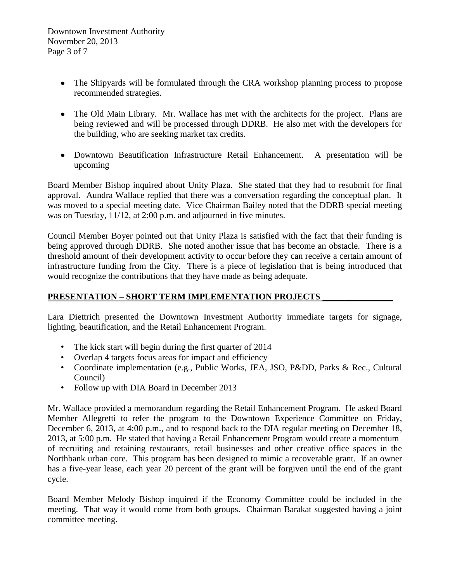- The Shipyards will be formulated through the CRA workshop planning process to propose recommended strategies.
- The Old Main Library. Mr. Wallace has met with the architects for the project. Plans are being reviewed and will be processed through DDRB. He also met with the developers for the building, who are seeking market tax credits.
- Downtown Beautification Infrastructure Retail Enhancement. A presentation will be upcoming

Board Member Bishop inquired about Unity Plaza. She stated that they had to resubmit for final approval. Aundra Wallace replied that there was a conversation regarding the conceptual plan. It was moved to a special meeting date. Vice Chairman Bailey noted that the DDRB special meeting was on Tuesday, 11/12, at 2:00 p.m. and adjourned in five minutes.

Council Member Boyer pointed out that Unity Plaza is satisfied with the fact that their funding is being approved through DDRB. She noted another issue that has become an obstacle. There is a threshold amount of their development activity to occur before they can receive a certain amount of infrastructure funding from the City. There is a piece of legislation that is being introduced that would recognize the contributions that they have made as being adequate.

## **PRESENTATION – SHORT TERM IMPLEMENTATION PROJECTS \_\_\_\_\_\_\_\_\_\_\_\_\_\_\_\_**

Lara Diettrich presented the Downtown Investment Authority immediate targets for signage, lighting, beautification, and the Retail Enhancement Program.

- The kick start will begin during the first quarter of 2014
- Overlap 4 targets focus areas for impact and efficiency
- Coordinate implementation (e.g., Public Works, JEA, JSO, P&DD, Parks & Rec., Cultural Council)
- Follow up with DIA Board in December 2013

Mr. Wallace provided a memorandum regarding the Retail Enhancement Program. He asked Board Member Allegretti to refer the program to the Downtown Experience Committee on Friday, December 6, 2013, at 4:00 p.m., and to respond back to the DIA regular meeting on December 18, 2013, at 5:00 p.m. He stated that having a Retail Enhancement Program would create a momentum of recruiting and retaining restaurants, retail businesses and other creative office spaces in the Northbank urban core. This program has been designed to mimic a recoverable grant. If an owner has a five-year lease, each year 20 percent of the grant will be forgiven until the end of the grant cycle.

Board Member Melody Bishop inquired if the Economy Committee could be included in the meeting. That way it would come from both groups. Chairman Barakat suggested having a joint committee meeting.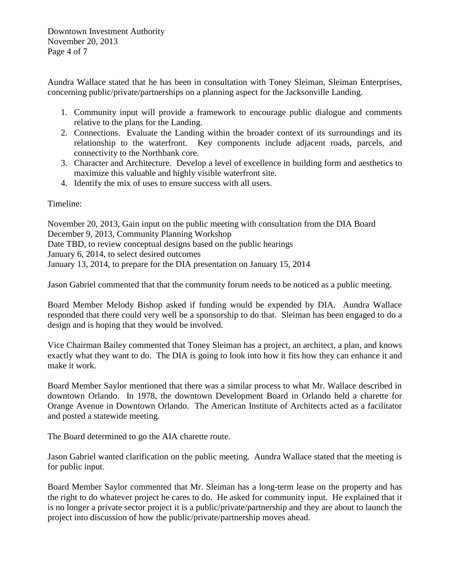Downtown Investment Authority November 20, 2013 Page 4 of 7

Aundra Wallace stated that he has been in consultation with Toney Sleiman, Sleiman Enterprises, concerning public/private/partnerships on a planning aspect for the Jacksonville Landing.

- 1. Community input will provide a framework to encourage public dialogue and comments relative to the plans for the Landing.
- 2. Connections. Evaluate the Landing within the broader context of its surroundings and its relationship to the waterfront. Key components include adjacent roads, parcels, and connectivity to the Northbank core.
- 3. Character and Architecture. Develop a level of excellence in building form and aesthetics to maximize this valuable and highly visible waterfront site.
- 4. Identify the mix of uses to ensure success with all users.

Timeline:

November 20, 2013, Gain input on the public meeting with consultation from the DIA Board December 9, 2013, Community Planning Workshop Date TBD, to review conceptual designs based on the public hearings January 6, 2014, to select desired outcomes January 13, 2014, to prepare for the DIA presentation on January 15, 2014

Jason Gabriel commented that that the community forum needs to be noticed as a public meeting.

Board Member Melody Bishop asked if funding would be expended by DIA. Aundra Wallace responded that there could very well be a sponsorship to do that. Sleiman has been engaged to do a design and is hoping that they would be involved.

Vice Chairman Bailey commented that Toney Sleiman has a project, an architect, a plan, and knows exactly what they want to do. The DIA is going to look into how it fits how they can enhance it and make it work.

Board Member Saylor mentioned that there was a similar process to what Mr. Wallace described in downtown Orlando. In 1978, the downtown Development Board in Orlando held a charette for Orange Avenue in Downtown Orlando. The American Institute of Architects acted as a facilitator and posted a statewide meeting.

The Board determined to go the AIA charette route.

Jason Gabriel wanted clarification on the public meeting. Aundra Wallace stated that the meeting is for public input.

Board Member Saylor commented that Mr. Sleiman has a long-term lease on the property and has the right to do whatever project he cares to do. He asked for community input. He explained that it is no longer a private sector project it is a public/private/partnership and they are about to launch the project into discussion of how the public/private/partnership moves ahead.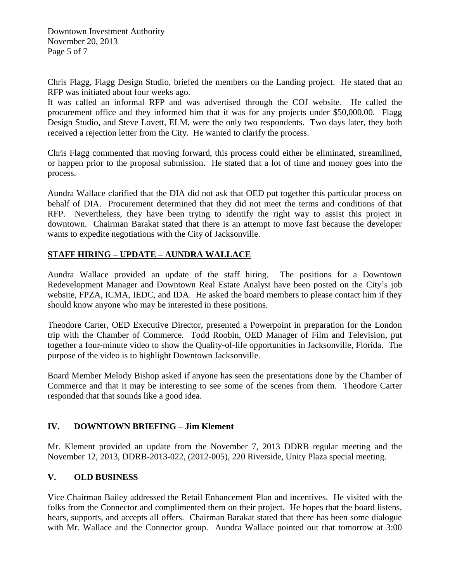Downtown Investment Authority November 20, 2013 Page 5 of 7

Chris Flagg, Flagg Design Studio, briefed the members on the Landing project. He stated that an RFP was initiated about four weeks ago.

It was called an informal RFP and was advertised through the COJ website. He called the procurement office and they informed him that it was for any projects under \$50,000.00. Flagg Design Studio, and Steve Lovett, ELM, were the only two respondents. Two days later, they both received a rejection letter from the City. He wanted to clarify the process.

Chris Flagg commented that moving forward, this process could either be eliminated, streamlined, or happen prior to the proposal submission. He stated that a lot of time and money goes into the process.

Aundra Wallace clarified that the DIA did not ask that OED put together this particular process on behalf of DIA. Procurement determined that they did not meet the terms and conditions of that RFP. Nevertheless, they have been trying to identify the right way to assist this project in downtown. Chairman Barakat stated that there is an attempt to move fast because the developer wants to expedite negotiations with the City of Jacksonville.

## **STAFF HIRING – UPDATE – AUNDRA WALLACE**

Aundra Wallace provided an update of the staff hiring. The positions for a Downtown Redevelopment Manager and Downtown Real Estate Analyst have been posted on the City's job website, FPZA, ICMA, IEDC, and IDA. He asked the board members to please contact him if they should know anyone who may be interested in these positions.

Theodore Carter, OED Executive Director, presented a Powerpoint in preparation for the London trip with the Chamber of Commerce. Todd Roobin, OED Manager of Film and Television, put together a four-minute video to show the Quality-of-life opportunities in Jacksonville, Florida. The purpose of the video is to highlight Downtown Jacksonville.

Board Member Melody Bishop asked if anyone has seen the presentations done by the Chamber of Commerce and that it may be interesting to see some of the scenes from them. Theodore Carter responded that that sounds like a good idea.

## **IV. DOWNTOWN BRIEFING – Jim Klement**

Mr. Klement provided an update from the November 7, 2013 DDRB regular meeting and the November 12, 2013, DDRB-2013-022, (2012-005), 220 Riverside, Unity Plaza special meeting.

## **V. OLD BUSINESS**

Vice Chairman Bailey addressed the Retail Enhancement Plan and incentives. He visited with the folks from the Connector and complimented them on their project. He hopes that the board listens, hears, supports, and accepts all offers. Chairman Barakat stated that there has been some dialogue with Mr. Wallace and the Connector group. Aundra Wallace pointed out that tomorrow at 3:00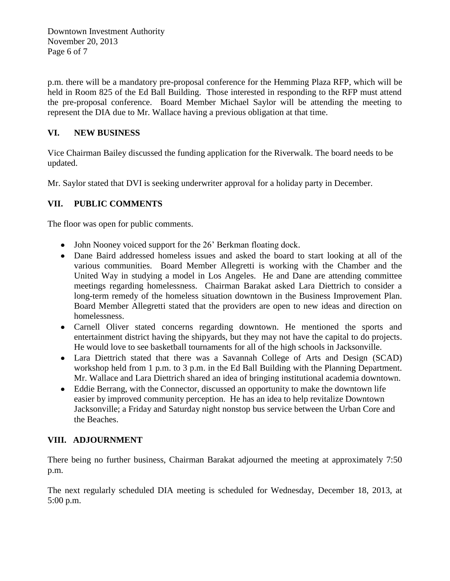Downtown Investment Authority November 20, 2013 Page 6 of 7

p.m. there will be a mandatory pre-proposal conference for the Hemming Plaza RFP, which will be held in Room 825 of the Ed Ball Building. Those interested in responding to the RFP must attend the pre-proposal conference. Board Member Michael Saylor will be attending the meeting to represent the DIA due to Mr. Wallace having a previous obligation at that time.

## **VI. NEW BUSINESS**

Vice Chairman Bailey discussed the funding application for the Riverwalk. The board needs to be updated.

Mr. Saylor stated that DVI is seeking underwriter approval for a holiday party in December.

# **VII. PUBLIC COMMENTS**

The floor was open for public comments.

- John Nooney voiced support for the 26' Berkman floating dock.
- Dane Baird addressed homeless issues and asked the board to start looking at all of the various communities. Board Member Allegretti is working with the Chamber and the United Way in studying a model in Los Angeles. He and Dane are attending committee meetings regarding homelessness. Chairman Barakat asked Lara Diettrich to consider a long-term remedy of the homeless situation downtown in the Business Improvement Plan. Board Member Allegretti stated that the providers are open to new ideas and direction on homelessness.
- Carnell Oliver stated concerns regarding downtown. He mentioned the sports and entertainment district having the shipyards, but they may not have the capital to do projects. He would love to see basketball tournaments for all of the high schools in Jacksonville.
- Lara Diettrich stated that there was a Savannah College of Arts and Design (SCAD) workshop held from 1 p.m. to 3 p.m. in the Ed Ball Building with the Planning Department. Mr. Wallace and Lara Diettrich shared an idea of bringing institutional academia downtown.
- Eddie Berrang, with the Connector, discussed an opportunity to make the downtown life easier by improved community perception. He has an idea to help revitalize Downtown Jacksonville; a Friday and Saturday night nonstop bus service between the Urban Core and the Beaches.

# **VIII. ADJOURNMENT**

There being no further business, Chairman Barakat adjourned the meeting at approximately 7:50 p.m.

The next regularly scheduled DIA meeting is scheduled for Wednesday, December 18, 2013, at 5:00 p.m.